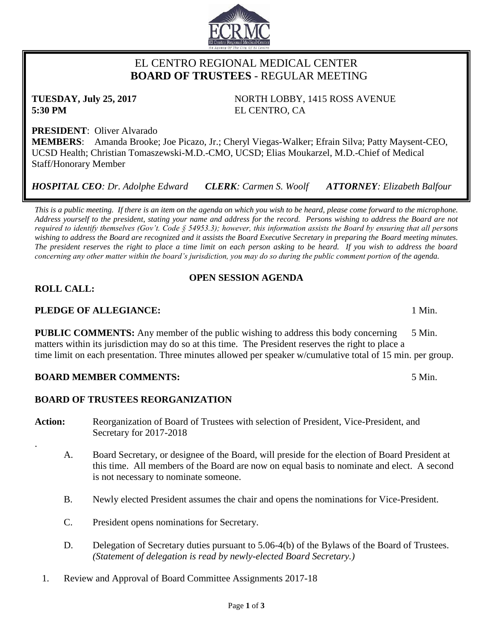# EL CENTRO REGIONAL MEDICAL CENTER  **BOARD OF TRUSTEES** - REGULAR MEETING

**5:30 PM** EL CENTRO, CA

**PRESIDENT**: Oliver Alvarado **MEMBERS**: Amanda Brooke; Joe Picazo, Jr.; Cheryl Viegas-Walker; Efrain Silva; Patty Maysent-CEO, UCSD Health; Christian Tomaszewski-M.D.-CMO, UCSD; Elias Moukarzel, M.D.-Chief of Medical Staff/Honorary Member

*HOSPITAL CEO: Dr. Adolphe Edward CLERK: Carmen S. Woolf ATTORNEY: Elizabeth Balfour*

*This is a public meeting. If there is an item on the agenda on which you wish to be heard, please come forward to the microphone. Address yourself to the president, stating your name and address for the record. Persons wishing to address the Board are not required to identify themselves (Gov't. Code § 54953.3); however, this information assists the Board by ensuring that all persons wishing to address the Board are recognized and it assists the Board Executive Secretary in preparing the Board meeting minutes. The president reserves the right to place a time limit on each person asking to be heard. If you wish to address the board concerning any other matter within the board's jurisdiction, you may do so during the public comment portion of the agenda.*

# **OPEN SESSION AGENDA**

# **ROLL CALL:**

.

# **PLEDGE OF ALLEGIANCE:** 1 Min.

**PUBLIC COMMENTS:** Any member of the public wishing to address this body concerning 5 Min. matters within its jurisdiction may do so at this time. The President reserves the right to place a time limit on each presentation. Three minutes allowed per speaker w/cumulative total of 15 min. per group.

# **BOARD MEMBER COMMENTS:** 5 Min.

# **BOARD OF TRUSTEES REORGANIZATION**

- **Action:** Reorganization of Board of Trustees with selection of President, Vice-President, and Secretary for 2017-2018
	- A. Board Secretary, or designee of the Board, will preside for the election of Board President at this time. All members of the Board are now on equal basis to nominate and elect. A second is not necessary to nominate someone.
	- B. Newly elected President assumes the chair and opens the nominations for Vice-President.
	- C. President opens nominations for Secretary.
	- D. Delegation of Secretary duties pursuant to 5.06-4(b) of the Bylaws of the Board of Trustees. *(Statement of delegation is read by newly-elected Board Secretary.)*
	- 1. Review and Approval of Board Committee Assignments 2017-18

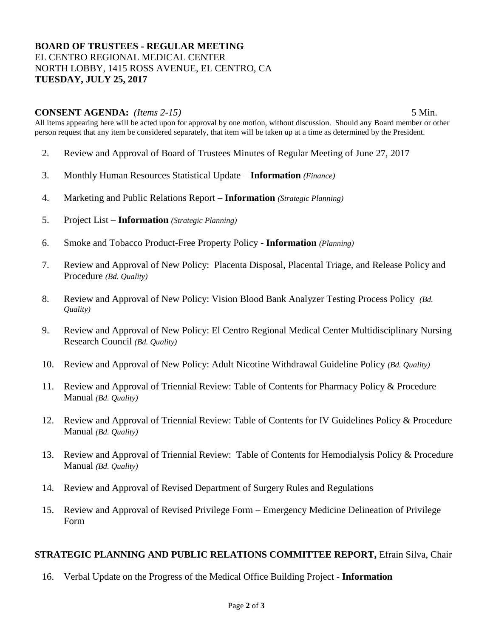# **BOARD OF TRUSTEES - REGULAR MEETING** EL CENTRO REGIONAL MEDICAL CENTER NORTH LOBBY, 1415 ROSS AVENUE, EL CENTRO, CA **TUESDAY, JULY 25, 2017**

### **CONSENT AGENDA:** *(Items 2-15)* 5 Min.

All items appearing here will be acted upon for approval by one motion, without discussion. Should any Board member or other person request that any item be considered separately, that item will be taken up at a time as determined by the President.

- 2. Review and Approval of Board of Trustees Minutes of Regular Meeting of June 27, 2017
- 3. Monthly Human Resources Statistical Update **Information** *(Finance)*
- 4. Marketing and Public Relations Report **Information** *(Strategic Planning)*
- 5. Project List **Information** *(Strategic Planning)*
- 6. Smoke and Tobacco Product-Free Property Policy **Information** *(Planning)*
- 7. Review and Approval of New Policy: Placenta Disposal, Placental Triage, and Release Policy and Procedure *(Bd. Quality)*
- 8. Review and Approval of New Policy: Vision Blood Bank Analyzer Testing Process Policy *(Bd. Quality)*
- 9. Review and Approval of New Policy: El Centro Regional Medical Center Multidisciplinary Nursing Research Council *(Bd. Quality)*
- 10. Review and Approval of New Policy: Adult Nicotine Withdrawal Guideline Policy *(Bd. Quality)*
- 11. Review and Approval of Triennial Review: Table of Contents for Pharmacy Policy & Procedure Manual *(Bd. Quality)*
- 12. Review and Approval of Triennial Review: Table of Contents for IV Guidelines Policy & Procedure Manual *(Bd. Quality)*
- 13. Review and Approval of Triennial Review: Table of Contents for Hemodialysis Policy & Procedure Manual *(Bd. Quality)*
- 14. Review and Approval of Revised Department of Surgery Rules and Regulations
- 15. Review and Approval of Revised Privilege Form Emergency Medicine Delineation of Privilege Form

#### **STRATEGIC PLANNING AND PUBLIC RELATIONS COMMITTEE REPORT,** Efrain Silva, Chair

16. Verbal Update on the Progress of the Medical Office Building Project - **Information**